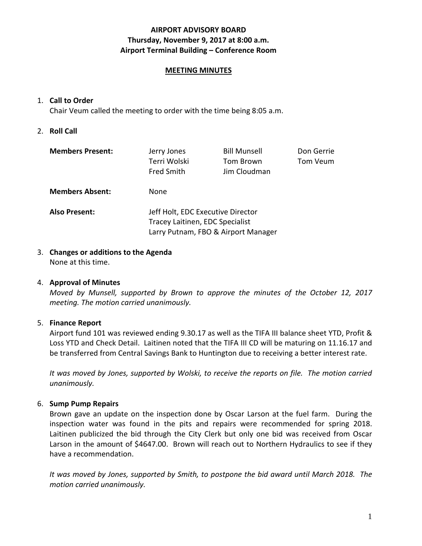#### **AIRPORT ADVISORY BOARD Thursday, November 9, 2017 at 8:00 a.m. Airport Terminal Building – Conference Room**

#### **MEETING MINUTES**

#### 1. **Call to Order**

Chair Veum called the meeting to order with the time being 8:05 a.m.

#### 2. **Roll Call**

| <b>Members Present:</b> | Jerry Jones<br>Terri Wolski<br><b>Fred Smith</b>                                                            | <b>Bill Munsell</b><br>Tom Brown<br>Jim Cloudman | Don Gerrie<br>Tom Veum |
|-------------------------|-------------------------------------------------------------------------------------------------------------|--------------------------------------------------|------------------------|
| <b>Members Absent:</b>  | None.                                                                                                       |                                                  |                        |
| <b>Also Present:</b>    | Jeff Holt, EDC Executive Director<br>Tracey Laitinen, EDC Specialist<br>Larry Putnam, FBO & Airport Manager |                                                  |                        |

#### 3. **Changes or additions to the Agenda** None at this time.

#### 4. **Approval of Minutes**

*Moved by Munsell, supported by Brown to approve the minutes of the October 12, 2017 meeting. The motion carried unanimously.*

#### 5. **Finance Report**

Airport fund 101 was reviewed ending 9.30.17 as well as the TIFA III balance sheet YTD, Profit & Loss YTD and Check Detail. Laitinen noted that the TIFA III CD will be maturing on 11.16.17 and be transferred from Central Savings Bank to Huntington due to receiving a better interest rate.

*It was moved by Jones, supported by Wolski, to receive the reports on file. The motion carried unanimously.*

## 6. **Sump Pump Repairs**

Brown gave an update on the inspection done by Oscar Larson at the fuel farm. During the inspection water was found in the pits and repairs were recommended for spring 2018. Laitinen publicized the bid through the City Clerk but only one bid was received from Oscar Larson in the amount of \$4647.00. Brown will reach out to Northern Hydraulics to see if they have a recommendation.

*It was moved by Jones, supported by Smith, to postpone the bid award until March 2018. The motion carried unanimously.*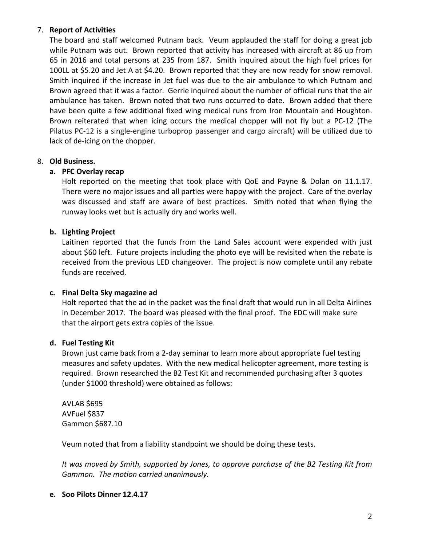## 7. **Report of Activities**

The board and staff welcomed Putnam back. Veum applauded the staff for doing a great job while Putnam was out. Brown reported that activity has increased with aircraft at 86 up from 65 in 2016 and total persons at 235 from 187. Smith inquired about the high fuel prices for 100LL at \$5.20 and Jet A at \$4.20. Brown reported that they are now ready for snow removal. Smith inquired if the increase in Jet fuel was due to the air ambulance to which Putnam and Brown agreed that it was a factor. Gerrie inquired about the number of official runs that the air ambulance has taken. Brown noted that two runs occurred to date. Brown added that there have been quite a few additional fixed wing medical runs from Iron Mountain and Houghton. Brown reiterated that when icing occurs the medical chopper will not fly but a PC-12 (The Pilatus PC-12 is a single-engine turboprop passenger and cargo aircraft) will be utilized due to lack of de-icing on the chopper.

# 8. **Old Business.**

# **a. PFC Overlay recap**

Holt reported on the meeting that took place with QoE and Payne & Dolan on 11.1.17. There were no major issues and all parties were happy with the project. Care of the overlay was discussed and staff are aware of best practices. Smith noted that when flying the runway looks wet but is actually dry and works well.

# **b. Lighting Project**

Laitinen reported that the funds from the Land Sales account were expended with just about \$60 left. Future projects including the photo eye will be revisited when the rebate is received from the previous LED changeover. The project is now complete until any rebate funds are received.

## **c. Final Delta Sky magazine ad**

Holt reported that the ad in the packet was the final draft that would run in all Delta Airlines in December 2017. The board was pleased with the final proof. The EDC will make sure that the airport gets extra copies of the issue.

## **d. Fuel Testing Kit**

Brown just came back from a 2-day seminar to learn more about appropriate fuel testing measures and safety updates. With the new medical helicopter agreement, more testing is required. Brown researched the B2 Test Kit and recommended purchasing after 3 quotes (under \$1000 threshold) were obtained as follows:

AVLAB \$695 AVFuel \$837 Gammon \$687.10

Veum noted that from a liability standpoint we should be doing these tests.

*It was moved by Smith, supported by Jones, to approve purchase of the B2 Testing Kit from Gammon. The motion carried unanimously.*

## **e. Soo Pilots Dinner 12.4.17**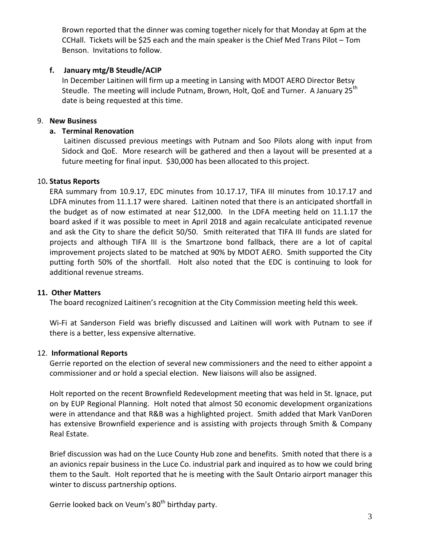Brown reported that the dinner was coming together nicely for that Monday at 6pm at the CCHall. Tickets will be \$25 each and the main speaker is the Chief Med Trans Pilot – Tom Benson. Invitations to follow.

## **f. January mtg/B Steudle/ACIP**

In December Laitinen will firm up a meeting in Lansing with MDOT AERO Director Betsy Steudle. The meeting will include Putnam, Brown, Holt, QoE and Turner. A January 25<sup>th</sup> date is being requested at this time.

#### 9. **New Business**

#### **a. Terminal Renovation**

Laitinen discussed previous meetings with Putnam and Soo Pilots along with input from Sidock and QoE. More research will be gathered and then a layout will be presented at a future meeting for final input. \$30,000 has been allocated to this project.

#### 10**. Status Reports**

ERA summary from 10.9.17, EDC minutes from 10.17.17, TIFA III minutes from 10.17.17 and LDFA minutes from 11.1.17 were shared. Laitinen noted that there is an anticipated shortfall in the budget as of now estimated at near \$12,000. In the LDFA meeting held on 11.1.17 the board asked if it was possible to meet in April 2018 and again recalculate anticipated revenue and ask the City to share the deficit 50/50. Smith reiterated that TIFA III funds are slated for projects and although TIFA III is the Smartzone bond fallback, there are a lot of capital improvement projects slated to be matched at 90% by MDOT AERO. Smith supported the City putting forth 50% of the shortfall. Holt also noted that the EDC is continuing to look for additional revenue streams.

#### **11. Other Matters**

The board recognized Laitinen's recognition at the City Commission meeting held this week.

Wi-Fi at Sanderson Field was briefly discussed and Laitinen will work with Putnam to see if there is a better, less expensive alternative.

## 12. **Informational Reports**

Gerrie reported on the election of several new commissioners and the need to either appoint a commissioner and or hold a special election. New liaisons will also be assigned.

Holt reported on the recent Brownfield Redevelopment meeting that was held in St. Ignace, put on by EUP Regional Planning. Holt noted that almost 50 economic development organizations were in attendance and that R&B was a highlighted project. Smith added that Mark VanDoren has extensive Brownfield experience and is assisting with projects through Smith & Company Real Estate.

Brief discussion was had on the Luce County Hub zone and benefits. Smith noted that there is a an avionics repair business in the Luce Co. industrial park and inquired as to how we could bring them to the Sault. Holt reported that he is meeting with the Sault Ontario airport manager this winter to discuss partnership options.

Gerrie looked back on Veum's 80<sup>th</sup> birthday party.